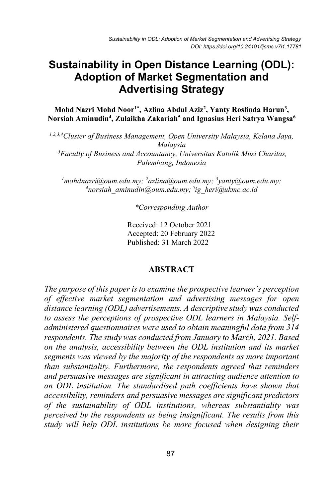# **Sustainability in Open Distance Learning (ODL): Adoption of Market Segmentation and Advertising Strategy**

Mohd Nazri Mohd Noor<sup>1\*</sup>, Azlina Abdul Aziz<sup>2</sup>, Yanty Roslinda Harun<sup>3</sup>, **Norsiah Aminudin4 , Zulaikha Zakariah5 and Ignasius Heri Satrya Wangsa6**

*1,2,3,4Cluster of Business Management, Open University Malaysia, Kelana Jaya, Malaysia 5 Faculty of Business and Accountancy, Universitas Katolik Musi Charitas, Palembang, Indonesia*

<sup>*1</sup> mohdnazri@oum.edu.my; <sup>2</sup>azlina@oum.edu.my; <sup>3</sup>yanty@oum.edu.my; <sup>4</sup><br><sup>4</sup> thorsigh\_aminudin@oum\_edu\_my: <sup>5</sup>ig\_heri@ukmc\_ac\_id</sup> norsiah\_aminudin@oum.edu.my; <sup>5</sup> ig\_heri@ukmc.ac.id*

*\*Corresponding Author*

Received: 12 October 2021 Accepted: 20 February 2022 Published: 31 March 2022

#### **ABSTRACT**

*The purpose of this paper is to examine the prospective learner's perception of effective market segmentation and advertising messages for open distance learning (ODL) advertisements. A descriptive study was conducted to assess the perceptions of prospective ODL learners in Malaysia. Selfadministered questionnaires were used to obtain meaningful data from 314 respondents. The study was conducted from January to March, 2021. Based on the analysis, accessibility between the ODL institution and its market segments was viewed by the majority of the respondents as more important than substantiality. Furthermore, the respondents agreed that reminders and persuasive messages are significant in attracting audience attention to an ODL institution. The standardised path coefficients have shown that accessibility, reminders and persuasive messages are significant predictors of the sustainability of ODL institutions, whereas substantiality was perceived by the respondents as being insignificant. The results from this study will help ODL institutions be more focused when designing their*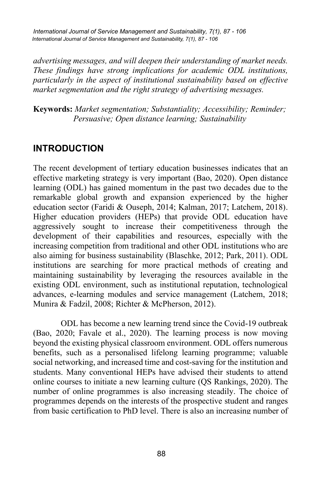*International Journal of Service Management and Sustainability, 7(1), 87 - 106 International Journal of Service Management and Sustainability, 7(1), 87 - 106*

*advertising messages, and will deepen their understanding of market needs. These findings have strong implications for academic ODL institutions, particularly in the aspect of institutional sustainability based on effective market segmentation and the right strategy of advertising messages.*

**Keywords:** *Market segmentation; Substantiality; Accessibility; Reminder; Persuasive; Open distance learning; Sustainability*

## **INTRODUCTION**

The recent development of tertiary education businesses indicates that an effective marketing strategy is very important (Bao, 2020). Open distance learning (ODL) has gained momentum in the past two decades due to the remarkable global growth and expansion experienced by the higher education sector (Faridi & Ouseph, 2014; Kalman, 2017; Latchem, 2018). Higher education providers (HEPs) that provide ODL education have aggressively sought to increase their competitiveness through the development of their capabilities and resources, especially with the increasing competition from traditional and other ODL institutions who are also aiming for business sustainability (Blaschke, 2012; Park, 2011). ODL institutions are searching for more practical methods of creating and maintaining sustainability by leveraging the resources available in the existing ODL environment, such as institutional reputation, technological advances, e-learning modules and service management (Latchem, 2018; Munira & Fadzil, 2008; Richter & McPherson, 2012).

ODL has become a new learning trend since the Covid-19 outbreak (Bao, 2020; Favale et al., 2020). The learning process is now moving beyond the existing physical classroom environment. ODL offers numerous benefits, such as a personalised lifelong learning programme; valuable social networking, and increased time and cost-saving for the institution and students. Many conventional HEPs have advised their students to attend online courses to initiate a new learning culture (QS Rankings, 2020). The number of online programmes is also increasing steadily. The choice of programmes depends on the interests of the prospective student and ranges from basic certification to PhD level. There is also an increasing number of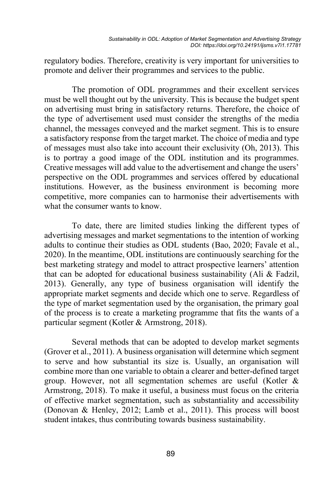regulatory bodies. Therefore, creativity is very important for universities to promote and deliver their programmes and services to the public.

The promotion of ODL programmes and their excellent services must be well thought out by the university. This is because the budget spent on advertising must bring in satisfactory returns. Therefore, the choice of the type of advertisement used must consider the strengths of the media channel, the messages conveyed and the market segment. This is to ensure a satisfactory response from the target market. The choice of media and type of messages must also take into account their exclusivity (Oh, 2013). This is to portray a good image of the ODL institution and its programmes. Creative messages will add value to the advertisement and change the users' perspective on the ODL programmes and services offered by educational institutions. However, as the business environment is becoming more competitive, more companies can to harmonise their advertisements with what the consumer wants to know.

To date, there are limited studies linking the different types of advertising messages and market segmentations to the intention of working adults to continue their studies as ODL students (Bao, 2020; Favale et al., 2020). In the meantime, ODL institutions are continuously searching for the best marketing strategy and model to attract prospective learners' attention that can be adopted for educational business sustainability (Ali & Fadzil, 2013). Generally, any type of business organisation will identify the appropriate market segments and decide which one to serve. Regardless of the type of market segmentation used by the organisation, the primary goal of the process is to create a marketing programme that fits the wants of a particular segment (Kotler & Armstrong, 2018).

Several methods that can be adopted to develop market segments (Grover et al., 2011). A business organisation will determine which segment to serve and how substantial its size is. Usually, an organisation will combine more than one variable to obtain a clearer and better-defined target group. However, not all segmentation schemes are useful (Kotler & Armstrong, 2018). To make it useful, a business must focus on the criteria of effective market segmentation, such as substantiality and accessibility (Donovan & Henley, 2012; Lamb et al., 2011). This process will boost student intakes, thus contributing towards business sustainability.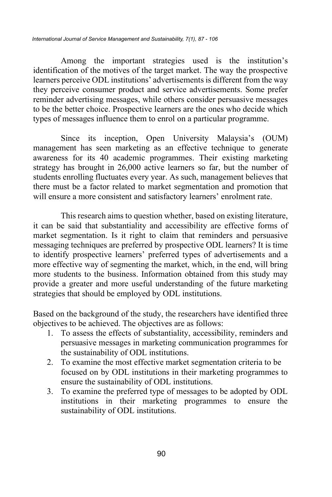Among the important strategies used is the institution's identification of the motives of the target market. The way the prospective learners perceive ODL institutions' advertisements is different from the way they perceive consumer product and service advertisements. Some prefer reminder advertising messages, while others consider persuasive messages to be the better choice. Prospective learners are the ones who decide which types of messages influence them to enrol on a particular programme.

Since its inception, Open University Malaysia's (OUM) management has seen marketing as an effective technique to generate awareness for its 40 academic programmes. Their existing marketing strategy has brought in 26,000 active learners so far, but the number of students enrolling fluctuates every year. As such, management believes that there must be a factor related to market segmentation and promotion that will ensure a more consistent and satisfactory learners' enrolment rate.

This research aims to question whether, based on existing literature, it can be said that substantiality and accessibility are effective forms of market segmentation. Is it right to claim that reminders and persuasive messaging techniques are preferred by prospective ODL learners? It is time to identify prospective learners' preferred types of advertisements and a more effective way of segmenting the market, which, in the end, will bring more students to the business. Information obtained from this study may provide a greater and more useful understanding of the future marketing strategies that should be employed by ODL institutions.

Based on the background of the study, the researchers have identified three objectives to be achieved. The objectives are as follows:

- 1. To assess the effects of substantiality, accessibility, reminders and persuasive messages in marketing communication programmes for the sustainability of ODL institutions.
- 2. To examine the most effective market segmentation criteria to be focused on by ODL institutions in their marketing programmes to ensure the sustainability of ODL institutions.
- 3. To examine the preferred type of messages to be adopted by ODL institutions in their marketing programmes to ensure the sustainability of ODL institutions.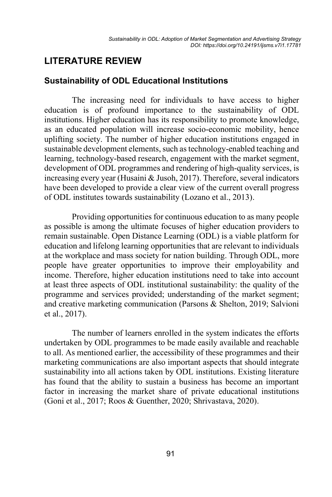## **LITERATURE REVIEW**

### **Sustainability of ODL Educational Institutions**

The increasing need for individuals to have access to higher education is of profound importance to the sustainability of ODL institutions. Higher education has its responsibility to promote knowledge, as an educated population will increase socio-economic mobility, hence uplifting society. The number of higher education institutions engaged in sustainable development elements, such as technology-enabled teaching and learning, technology-based research, engagement with the market segment, development of ODL programmes and rendering of high-quality services, is increasing every year (Husaini & Jusoh, 2017). Therefore, several indicators have been developed to provide a clear view of the current overall progress of ODL institutes towards sustainability (Lozano et al., 2013).

Providing opportunities for continuous education to as many people as possible is among the ultimate focuses of higher education providers to remain sustainable. Open Distance Learning (ODL) is a viable platform for education and lifelong learning opportunities that are relevant to individuals at the workplace and mass society for nation building. Through ODL, more people have greater opportunities to improve their employability and income. Therefore, higher education institutions need to take into account at least three aspects of ODL institutional sustainability: the quality of the programme and services provided; understanding of the market segment; and creative marketing communication (Parsons & Shelton, 2019; Salvioni et al., 2017).

The number of learners enrolled in the system indicates the efforts undertaken by ODL programmes to be made easily available and reachable to all. As mentioned earlier, the accessibility of these programmes and their marketing communications are also important aspects that should integrate sustainability into all actions taken by ODL institutions. Existing literature has found that the ability to sustain a business has become an important factor in increasing the market share of private educational institutions (Goni et al., 2017; Roos & Guenther, 2020; Shrivastava, 2020).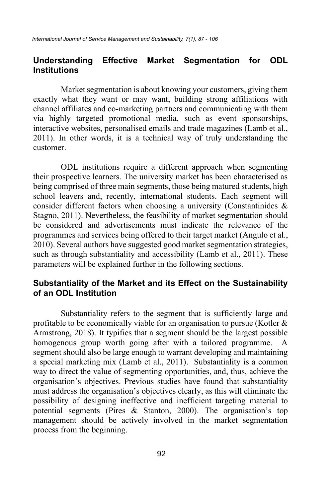### **Understanding Effective Market Segmentation for ODL Institutions**

Market segmentation is about knowing your customers, giving them exactly what they want or may want, building strong affiliations with channel affiliates and co-marketing partners and communicating with them via highly targeted promotional media, such as event sponsorships, interactive websites, personalised emails and trade magazines (Lamb et al., 2011). In other words, it is a technical way of truly understanding the customer.

ODL institutions require a different approach when segmenting their prospective learners. The university market has been characterised as being comprised of three main segments, those being matured students, high school leavers and, recently, international students. Each segment will consider different factors when choosing a university (Constantinides & Stagno, 2011). Nevertheless, the feasibility of market segmentation should be considered and advertisements must indicate the relevance of the programmes and services being offered to their target market (Angulo et al., 2010). Several authors have suggested good market segmentation strategies, such as through substantiality and accessibility (Lamb et al., 2011). These parameters will be explained further in the following sections.

### **Substantiality of the Market and its Effect on the Sustainability of an ODL Institution**

Substantiality refers to the segment that is sufficiently large and profitable to be economically viable for an organisation to pursue (Kotler  $\&$ Armstrong, 2018). It typifies that a segment should be the largest possible homogenous group worth going after with a tailored programme. A segment should also be large enough to warrant developing and maintaining a special marketing mix (Lamb et al., 2011). Substantiality is a common way to direct the value of segmenting opportunities, and, thus, achieve the organisation's objectives. Previous studies have found that substantiality must address the organisation's objectives clearly, as this will eliminate the possibility of designing ineffective and inefficient targeting material to potential segments (Pires & Stanton, 2000). The organisation's top management should be actively involved in the market segmentation process from the beginning.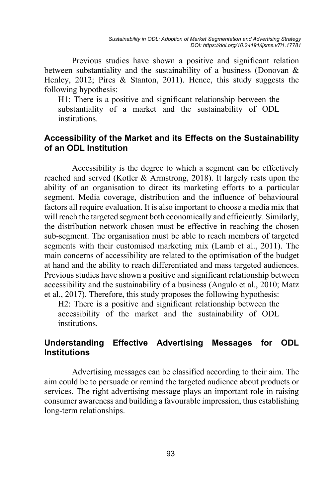Previous studies have shown a positive and significant relation between substantiality and the sustainability of a business (Donovan  $\&$ Henley, 2012; Pires & Stanton, 2011). Hence, this study suggests the following hypothesis:

H1: There is a positive and significant relationship between the substantiality of a market and the sustainability of ODL institutions.

### **Accessibility of the Market and its Effects on the Sustainability of an ODL Institution**

Accessibility is the degree to which a segment can be effectively reached and served (Kotler & Armstrong, 2018). It largely rests upon the ability of an organisation to direct its marketing efforts to a particular segment. Media coverage, distribution and the influence of behavioural factors all require evaluation. It is also important to choose a media mix that will reach the targeted segment both economically and efficiently. Similarly, the distribution network chosen must be effective in reaching the chosen sub-segment. The organisation must be able to reach members of targeted segments with their customised marketing mix (Lamb et al., 2011). The main concerns of accessibility are related to the optimisation of the budget at hand and the ability to reach differentiated and mass targeted audiences. Previous studies have shown a positive and significant relationship between accessibility and the sustainability of a business (Angulo et al., 2010; Matz et al., 2017). Therefore, this study proposes the following hypothesis:

H2: There is a positive and significant relationship between the accessibility of the market and the sustainability of ODL **institutions** 

### **Understanding Effective Advertising Messages for ODL Institutions**

Advertising messages can be classified according to their aim. The aim could be to persuade or remind the targeted audience about products or services. The right advertising message plays an important role in raising consumer awareness and building a favourable impression, thus establishing long-term relationships.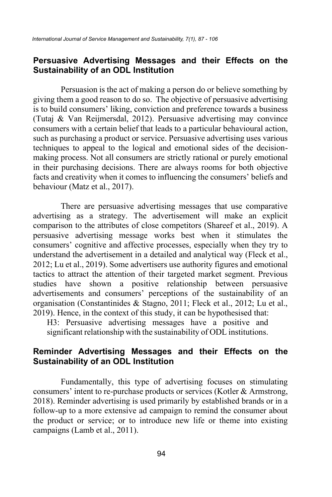### **Persuasive Advertising Messages and their Effects on the Sustainability of an ODL Institution**

Persuasion is the act of making a person do or believe something by giving them a good reason to do so. The objective of persuasive advertising is to build consumers' liking, conviction and preference towards a business (Tutaj & Van Reijmersdal, 2012). Persuasive advertising may convince consumers with a certain belief that leads to a particular behavioural action, such as purchasing a product or service. Persuasive advertising uses various techniques to appeal to the logical and emotional sides of the decisionmaking process. Not all consumers are strictly rational or purely emotional in their purchasing decisions. There are always rooms for both objective facts and creativity when it comes to influencing the consumers' beliefs and behaviour (Matz et al., 2017).

There are persuasive advertising messages that use comparative advertising as a strategy. The advertisement will make an explicit comparison to the attributes of close competitors (Shareef et al., 2019). A persuasive advertising message works best when it stimulates the consumers' cognitive and affective processes, especially when they try to understand the advertisement in a detailed and analytical way (Fleck et al., 2012; Lu et al., 2019). Some advertisers use authority figures and emotional tactics to attract the attention of their targeted market segment. Previous studies have shown a positive relationship between persuasive advertisements and consumers' perceptions of the sustainability of an organisation (Constantinides & Stagno, 2011; Fleck et al., 2012; Lu et al., 2019). Hence, in the context of this study, it can be hypothesised that:

H3: Persuasive advertising messages have a positive and significant relationship with the sustainability of ODL institutions.

### **Reminder Advertising Messages and their Effects on the Sustainability of an ODL Institution**

Fundamentally, this type of advertising focuses on stimulating consumers' intent to re-purchase products or services (Kotler & Armstrong, 2018). Reminder advertising is used primarily by established brands or in a follow-up to a more extensive ad campaign to remind the consumer about the product or service; or to introduce new life or theme into existing campaigns (Lamb et al., 2011).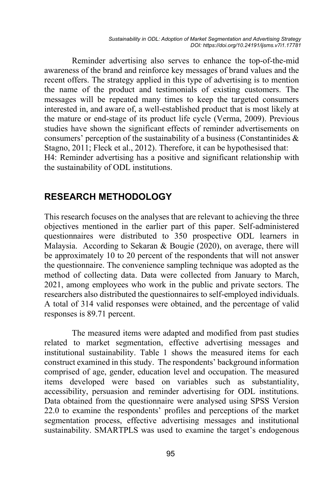Reminder advertising also serves to enhance the top-of-the-mid awareness of the brand and reinforce key messages of brand values and the recent offers. The strategy applied in this type of advertising is to mention the name of the product and testimonials of existing customers. The messages will be repeated many times to keep the targeted consumers interested in, and aware of, a well-established product that is most likely at the mature or end-stage of its product life cycle (Verma, 2009). Previous studies have shown the significant effects of reminder advertisements on consumers' perception of the sustainability of a business (Constantinides & Stagno, 2011; Fleck et al., 2012). Therefore, it can be hypothesised that: H4: Reminder advertising has a positive and significant relationship with the sustainability of ODL institutions.

## **RESEARCH METHODOLOGY**

This research focuses on the analyses that are relevant to achieving the three objectives mentioned in the earlier part of this paper. Self-administered questionnaires were distributed to 350 prospective ODL learners in Malaysia. According to Sekaran & Bougie (2020), on average, there will be approximately 10 to 20 percent of the respondents that will not answer the questionnaire. The convenience sampling technique was adopted as the method of collecting data. Data were collected from January to March, 2021, among employees who work in the public and private sectors. The researchers also distributed the questionnaires to self-employed individuals. A total of 314 valid responses were obtained, and the percentage of valid responses is 89.71 percent.

The measured items were adapted and modified from past studies related to market segmentation, effective advertising messages and institutional sustainability. Table 1 shows the measured items for each construct examined in this study. The respondents' background information comprised of age, gender, education level and occupation. The measured items developed were based on variables such as substantiality, accessibility, persuasion and reminder advertising for ODL institutions. Data obtained from the questionnaire were analysed using SPSS Version 22.0 to examine the respondents' profiles and perceptions of the market segmentation process, effective advertising messages and institutional sustainability. SMARTPLS was used to examine the target's endogenous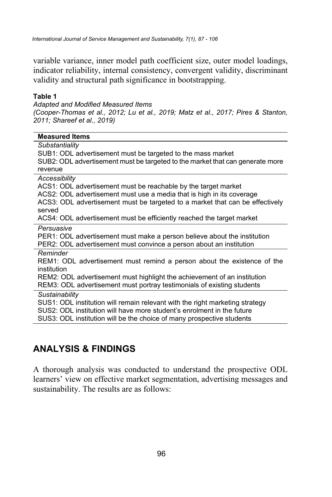variable variance, inner model path coefficient size, outer model loadings, indicator reliability, internal consistency, convergent validity, discriminant validity and structural path significance in bootstrapping.

#### **Table 1**

*Adapted and Modified Measured Items (Cooper-Thomas et al., 2012; Lu et al., 2019; Matz et al., 2017; Pires & Stanton, 2011; Shareef et al., 2019)*

| <b>Measured Items</b>                                                         |
|-------------------------------------------------------------------------------|
| Substantiality                                                                |
| SUB1: ODL advertisement must be targeted to the mass market                   |
| SUB2: ODL advertisement must be targeted to the market that can generate more |
| revenue                                                                       |
| Accessibility                                                                 |
| ACS1: ODL advertisement must be reachable by the target market                |
| ACS2: ODL advertisement must use a media that is high in its coverage         |
| ACS3: ODL advertisement must be targeted to a market that can be effectively  |
| served                                                                        |
| ACS4: ODL advertisement must be efficiently reached the target market         |
| Persuasive                                                                    |
| PER1: ODL advertisement must make a person believe about the institution      |
| PER2: ODL advertisement must convince a person about an institution           |
| Reminder                                                                      |
| REM1: ODL advertisement must remind a person about the existence of the       |
| institution                                                                   |
| REM2: ODL advertisement must highlight the achievement of an institution      |
| REM3: ODL advertisement must portray testimonials of existing students        |
| Sustainability                                                                |
| SUS1: ODL institution will remain relevant with the right marketing strategy  |
| SUS2: ODL institution will have more student's enrolment in the future        |
| SUS3: ODL institution will be the choice of many prospective students         |

# **ANALYSIS & FINDINGS**

A thorough analysis was conducted to understand the prospective ODL learners' view on effective market segmentation, advertising messages and sustainability. The results are as follows: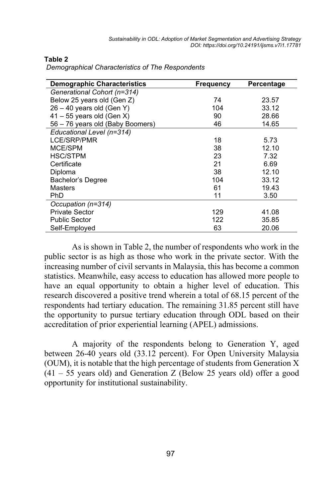| <b>Demographic Characteristics</b> | <b>Frequency</b> | Percentage |
|------------------------------------|------------------|------------|
| Generational Cohort (n=314)        |                  |            |
| Below 25 years old (Gen Z)         | 74               | 23.57      |
| $26 - 40$ years old (Gen Y)        | 104              | 33.12      |
| $41 - 55$ years old (Gen X)        | 90               | 28.66      |
| 56 - 76 years old (Baby Boomers)   | 46               | 14.65      |
| Educational Level (n=314)          |                  |            |
| <b>LCE/SRP/PMR</b>                 | 18               | 5.73       |
| MCE/SPM                            | 38               | 12.10      |
| <b>HSC/STPM</b>                    | 23               | 7.32       |
| Certificate                        | 21               | 6.69       |
| Diploma                            | 38               | 12.10      |
| Bachelor's Degree                  | 104              | 33.12      |
| Masters                            | 61               | 19.43      |
| PhD                                | 11               | 3.50       |
| Occupation (n=314)                 |                  |            |
| <b>Private Sector</b>              | 129              | 41.08      |
| <b>Public Sector</b>               | 122              | 35.85      |
| Self-Employed                      | 63               | 20.06      |

#### **Table 2**

*Demographical Characteristics of The Respondents*

As is shown in Table 2, the number of respondents who work in the public sector is as high as those who work in the private sector. With the increasing number of civil servants in Malaysia, this has become a common statistics. Meanwhile, easy access to education has allowed more people to have an equal opportunity to obtain a higher level of education. This research discovered a positive trend wherein a total of 68.15 percent of the respondents had tertiary education. The remaining 31.85 percent still have the opportunity to pursue tertiary education through ODL based on their accreditation of prior experiential learning (APEL) admissions.

A majority of the respondents belong to Generation Y, aged between 26-40 years old (33.12 percent). For Open University Malaysia (OUM), it is notable that the high percentage of students from Generation X  $(41 - 55$  years old) and Generation Z (Below 25 years old) offer a good opportunity for institutional sustainability.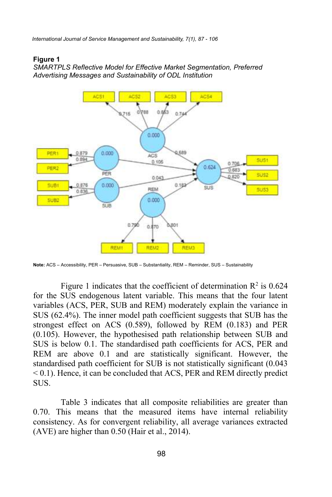*International Journal of Service Management and Sustainability, 7(1), 87 - 106*

#### **Figure 1**

*SMARTPLS Reflective Model for Effective Market Segmentation, Preferred Advertising Messages and Sustainability of ODL Institution*



**Note:** ACS – Accessibility, PER – Persuasive, SUB – Substantiality, REM – Reminder, SUS – Sustainability

Figure 1 indicates that the coefficient of determination  $\mathbb{R}^2$  is 0.624 for the SUS endogenous latent variable. This means that the four latent variables (ACS, PER, SUB and REM) moderately explain the variance in SUS (62.4%). The inner model path coefficient suggests that SUB has the strongest effect on ACS (0.589), followed by REM (0.183) and PER (0.105). However, the hypothesised path relationship between SUB and SUS is below 0.1. The standardised path coefficients for ACS, PER and REM are above 0.1 and are statistically significant. However, the standardised path coefficient for SUB is not statistically significant (0.043 < 0.1). Hence, it can be concluded that ACS, PER and REM directly predict SUS.

Table 3 indicates that all composite reliabilities are greater than 0.70. This means that the measured items have internal reliability consistency. As for convergent reliability, all average variances extracted (AVE) are higher than 0.50 (Hair et al., 2014).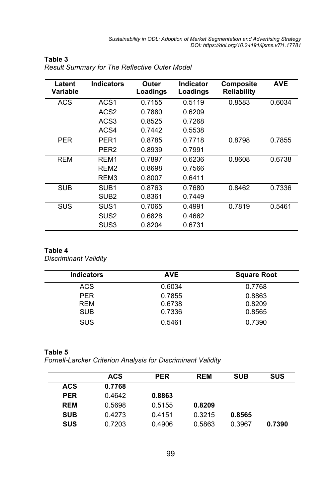| Latent<br>Variable | <b>Indicators</b> | Outer<br>Loadings | Indicator<br>Loadings | Composite<br><b>Reliability</b> | <b>AVE</b> |
|--------------------|-------------------|-------------------|-----------------------|---------------------------------|------------|
| ACS                | ACS <sub>1</sub>  | 0.7155            | 0.5119                | 0.8583                          | 0.6034     |
|                    | ACS <sub>2</sub>  | 0.7880            | 0.6209                |                                 |            |
|                    | ACS3              | 0.8525            | 0.7268                |                                 |            |
|                    | ACS4              | 0.7442            | 0.5538                |                                 |            |
| <b>PER</b>         | PFR <sub>1</sub>  | 0.8785            | 0.7718                | 0.8798                          | 0.7855     |
|                    | PER <sub>2</sub>  | 0.8939            | 0.7991                |                                 |            |
| <b>REM</b>         | RFM1              | 0.7897            | 0.6236                | 0.8608                          | 0.6738     |
|                    | RFM <sub>2</sub>  | 0.8698            | 0.7566                |                                 |            |
|                    | REM <sub>3</sub>  | 0.8007            | 0.6411                |                                 |            |
| <b>SUB</b>         | SUB <sub>1</sub>  | 0.8763            | 0.7680                | 0.8462                          | 0.7336     |
|                    | SUB <sub>2</sub>  | 0.8361            | 0.7449                |                                 |            |
| <b>SUS</b>         | SUS <sub>1</sub>  | 0.7065            | 0.4991                | 0.7819                          | 0.5461     |
|                    | SUS <sub>2</sub>  | 0.6828            | 0.4662                |                                 |            |
|                    | SUS3              | 0.8204            | 0.6731                |                                 |            |

#### **Table 3**  *Result Summary for The Reflective Outer Model*

#### **Table 4**

*Discriminant Validity*

| <b>Indicators</b> | <b>AVE</b> | <b>Square Root</b> |
|-------------------|------------|--------------------|
| <b>ACS</b>        | 0.6034     | 0.7768             |
| <b>PER</b>        | 0.7855     | 0.8863             |
| <b>REM</b>        | 0.6738     | 0.8209             |
| <b>SUB</b>        | 0.7336     | 0.8565             |
| <b>SUS</b>        | 0.5461     | 0.7390             |

#### **Table 5**

*Fornell-Larcker Criterion Analysis for Discriminant Validity*

|            | <b>ACS</b> | <b>PER</b> | <b>REM</b> | <b>SUB</b> | <b>SUS</b> |
|------------|------------|------------|------------|------------|------------|
| <b>ACS</b> | 0.7768     |            |            |            |            |
| <b>PER</b> | 0.4642     | 0.8863     |            |            |            |
| <b>REM</b> | 0.5698     | 0.5155     | 0.8209     |            |            |
| <b>SUB</b> | 0.4273     | 0.4151     | 0.3215     | 0.8565     |            |
| <b>SUS</b> | 0.7203     | 0.4906     | 0.5863     | 0.3967     | 0.7390     |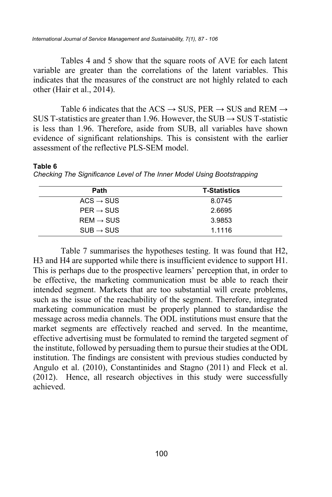Tables 4 and 5 show that the square roots of AVE for each latent variable are greater than the correlations of the latent variables. This indicates that the measures of the construct are not highly related to each other (Hair et al., 2014).

Table 6 indicates that the ACS  $\rightarrow$  SUS, PER  $\rightarrow$  SUS and REM  $\rightarrow$ SUS T-statistics are greater than 1.96. However, the SUB  $\rightarrow$  SUS T-statistic is less than 1.96. Therefore, aside from SUB, all variables have shown evidence of significant relationships. This is consistent with the earlier assessment of the reflective PLS-SEM model.

#### **Table 6**

| Path                  | <b>T-Statistics</b> |
|-----------------------|---------------------|
| $ACS \rightarrow SUS$ | 8.0745              |
| $PER \rightarrow SUS$ | 2.6695              |
| $REM \rightarrow SUS$ | 3.9853              |
| $SUB \rightarrow SUS$ | 1.1116              |

*Checking The Significance Level of The Inner Model Using Bootstrapping*

Table 7 summarises the hypotheses testing. It was found that H2, H3 and H4 are supported while there is insufficient evidence to support H1. This is perhaps due to the prospective learners' perception that, in order to be effective, the marketing communication must be able to reach their intended segment. Markets that are too substantial will create problems, such as the issue of the reachability of the segment. Therefore, integrated marketing communication must be properly planned to standardise the message across media channels. The ODL institutions must ensure that the market segments are effectively reached and served. In the meantime, effective advertising must be formulated to remind the targeted segment of the institute, followed by persuading them to pursue their studies at the ODL institution. The findings are consistent with previous studies conducted by Angulo et al. (2010), Constantinides and Stagno (2011) and Fleck et al. (2012). Hence, all research objectives in this study were successfully achieved.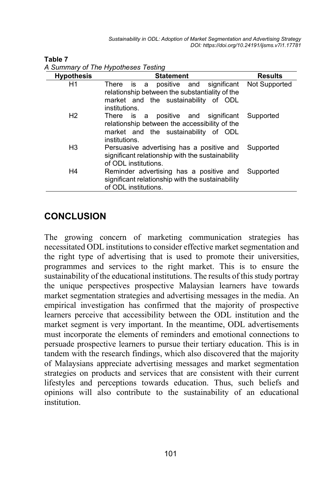Sustainability in ODL: Adoption of Market Segmentation and Advertising Strategy *DOI: https://doi.org/10.24191/ijsms.v7i1.17781*

| <b>Hypothesis</b> | <b>Statement</b>                                                                                                                                     | <b>Results</b> |
|-------------------|------------------------------------------------------------------------------------------------------------------------------------------------------|----------------|
| H1                | positive and significant<br>There<br>is a<br>relationship between the substantiality of the<br>market and the sustainability of ODL<br>institutions. | Not Supported  |
| H2                | positive and significant<br>There is a<br>relationship between the accessibility of the<br>market and the sustainability of ODL<br>institutions.     | Supported      |
| H3                | Persuasive advertising has a positive and<br>significant relationship with the sustainability<br>of ODL institutions.                                | Supported      |
| H4                | Reminder advertising has a positive and<br>significant relationship with the sustainability<br>of ODL institutions.                                  | Supported      |

**Table 7**  *A Summary of The Hypotheses Testing*

## **CONCLUSION**

The growing concern of marketing communication strategies has necessitated ODL institutions to consider effective market segmentation and the right type of advertising that is used to promote their universities, programmes and services to the right market. This is to ensure the sustainability of the educational institutions. The results of this study portray the unique perspectives prospective Malaysian learners have towards market segmentation strategies and advertising messages in the media. An empirical investigation has confirmed that the majority of prospective learners perceive that accessibility between the ODL institution and the market segment is very important. In the meantime, ODL advertisements must incorporate the elements of reminders and emotional connections to persuade prospective learners to pursue their tertiary education. This is in tandem with the research findings, which also discovered that the majority of Malaysians appreciate advertising messages and market segmentation strategies on products and services that are consistent with their current lifestyles and perceptions towards education. Thus, such beliefs and opinions will also contribute to the sustainability of an educational institution.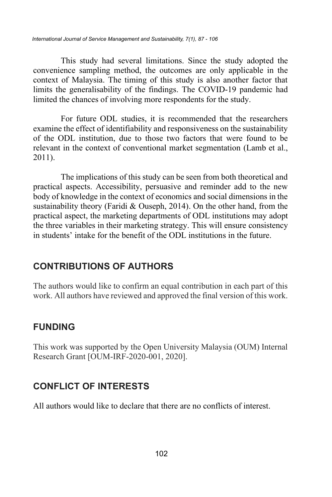This study had several limitations. Since the study adopted the convenience sampling method, the outcomes are only applicable in the context of Malaysia. The timing of this study is also another factor that limits the generalisability of the findings. The COVID-19 pandemic had limited the chances of involving more respondents for the study.

For future ODL studies, it is recommended that the researchers examine the effect of identifiability and responsiveness on the sustainability of the ODL institution, due to those two factors that were found to be relevant in the context of conventional market segmentation (Lamb et al., 2011).

The implications of this study can be seen from both theoretical and practical aspects. Accessibility, persuasive and reminder add to the new body of knowledge in the context of economics and social dimensions in the sustainability theory (Faridi & Ouseph, 2014). On the other hand, from the practical aspect, the marketing departments of ODL institutions may adopt the three variables in their marketing strategy. This will ensure consistency in students' intake for the benefit of the ODL institutions in the future.

# **CONTRIBUTIONS OF AUTHORS**

The authors would like to confirm an equal contribution in each part of this work. All authors have reviewed and approved the final version of this work.

# **FUNDING**

This work was supported by the Open University Malaysia (OUM) Internal Research Grant [OUM-IRF-2020-001, 2020].

# **CONFLICT OF INTERESTS**

All authors would like to declare that there are no conflicts of interest.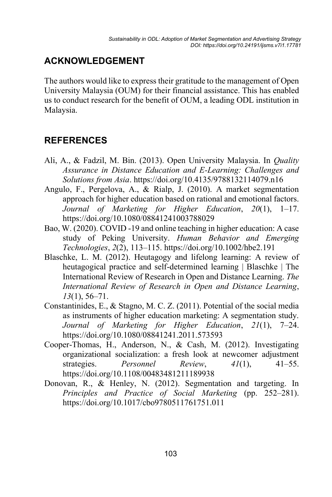# **ACKNOWLEDGEMENT**

The authors would like to express their gratitude to the management of Open University Malaysia (OUM) for their financial assistance. This has enabled us to conduct research for the benefit of OUM, a leading ODL institution in Malaysia.

## **REFERENCES**

- Ali, A., & Fadzil, M. Bin. (2013). Open University Malaysia. In *Quality Assurance in Distance Education and E-Learning: Challenges and Solutions from Asia*. https://doi.org/10.4135/9788132114079.n16
- Angulo, F., Pergelova, A., & Rialp, J. (2010). A market segmentation approach for higher education based on rational and emotional factors. *Journal of Marketing for Higher Education*, *20*(1), 1–17. https://doi.org/10.1080/08841241003788029
- Bao, W. (2020). COVID ‐19 and online teaching in higher education: A case study of Peking University. *Human Behavior and Emerging Technologies*, *2*(2), 113–115. https://doi.org/10.1002/hbe2.191
- Blaschke, L. M. (2012). Heutagogy and lifelong learning: A review of heutagogical practice and self-determined learning | Blaschke | The International Review of Research in Open and Distance Learning. *The International Review of Research in Open and Distance Learning*, *13*(1), 56–71.
- Constantinides, E., & Stagno, M. C. Z. (2011). Potential of the social media as instruments of higher education marketing: A segmentation study. *Journal of Marketing for Higher Education*, *21*(1), 7–24. https://doi.org/10.1080/08841241.2011.573593
- Cooper-Thomas, H., Anderson, N., & Cash, M. (2012). Investigating organizational socialization: a fresh look at newcomer adjustment strategies. *Personnel Review*, *41*(1), 41–55. https://doi.org/10.1108/00483481211189938
- Donovan, R., & Henley, N. (2012). Segmentation and targeting. In *Principles and Practice of Social Marketing* (pp. 252–281). https://doi.org/10.1017/cbo9780511761751.011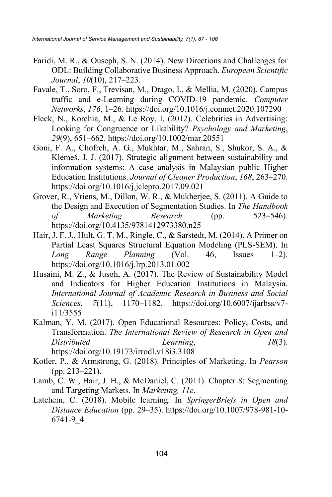- Faridi, M. R., & Ouseph, S. N. (2014). New Directions and Challenges for ODL: Building Collaborative Business Approach. *European Scientific Journal*, *10*(10), 217–223.
- Favale, T., Soro, F., Trevisan, M., Drago, I., & Mellia, M. (2020). Campus traffic and e-Learning during COVID-19 pandemic. *Computer Networks*, *176*, 1–26. https://doi.org/10.1016/j.comnet.2020.107290
- Fleck, N., Korchia, M., & Le Roy, I. (2012). Celebrities in Advertising: Looking for Congruence or Likability? *Psychology and Marketing*, *29*(9), 651–662. https://doi.org/10.1002/mar.20551
- Goni, F. A., Chofreh, A. G., Mukhtar, M., Sahran, S., Shukor, S. A., & Klemeš, J. J. (2017). Strategic alignment between sustainability and information systems: A case analysis in Malaysian public Higher Education Institutions. *Journal of Cleaner Production*, *168*, 263–270. https://doi.org/10.1016/j.jclepro.2017.09.021
- Grover, R., Vriens, M., Dillon, W. R., & Mukherjee, S. (2011). A Guide to the Design and Execution of Segmentation Studies. In *The Handbook of Marketing Research* (pp. 523–546). https://doi.org/10.4135/9781412973380.n25
- Hair, J. F. J., Hult, G. T. M., Ringle, C., & Sarstedt, M. (2014). A Primer on Partial Least Squares Structural Equation Modeling (PLS-SEM). In *Long Range Planning* (Vol. 46, Issues 1–2). https://doi.org/10.1016/j.lrp.2013.01.002
- Husaini, M. Z., & Jusoh, A. (2017). The Review of Sustainability Model and Indicators for Higher Education Institutions in Malaysia. *International Journal of Academic Research in Business and Social Sciences*, *7*(11), 1170–1182. https://doi.org/10.6007/ijarbss/v7 i11/3555
- Kalman, Y. M. (2017). Open Educational Resources: Policy, Costs, and Transformation. *The International Review of Research in Open and Distributed Learning*, *18*(3). https://doi.org/10.19173/irrodl.v18i3.3108
- Kotler, P., & Armstrong, G. (2018). Principles of Marketing. In *Pearson* (pp. 213–221).
- Lamb, C. W., Hair, J. H., & McDaniel, C. (2011). Chapter 8: Segmenting and Targeting Markets. In *Marketing, 11e*.
- Latchem, C. (2018). Mobile learning. In *SpringerBriefs in Open and Distance Education* (pp. 29–35). https://doi.org/10.1007/978-981-10- 6741-9\_4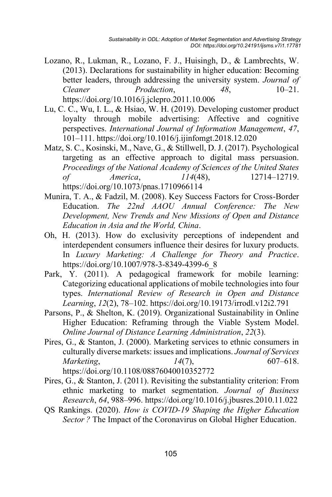- Lozano, R., Lukman, R., Lozano, F. J., Huisingh, D., & Lambrechts, W. (2013). Declarations for sustainability in higher education: Becoming better leaders, through addressing the university system. *Journal of Cleaner Production*, *48*, 10–21. https://doi.org/10.1016/j.jclepro.2011.10.006
- Lu, C. C., Wu, I. L., & Hsiao, W. H. (2019). Developing customer product loyalty through mobile advertising: Affective and cognitive perspectives. *International Journal of Information Management*, *47*, 101–111. https://doi.org/10.1016/j.ijinfomgt.2018.12.020
- Matz, S. C., Kosinski, M., Nave, G., & Stillwell, D. J. (2017). Psychological targeting as an effective approach to digital mass persuasion. *Proceedings of the National Academy of Sciences of the United States of America*, *114*(48), 12714–12719. https://doi.org/10.1073/pnas.1710966114
- Munira, T. A., & Fadzil, M. (2008). Key Success Factors for Cross-Border Education. *The 22nd AAOU Annual Conference: The New Development, New Trends and New Missions of Open and Distance Education in Asia and the World, China*.
- Oh, H. (2013). How do exclusivity perceptions of independent and interdependent consumers influence their desires for luxury products. In *Luxury Marketing: A Challenge for Theory and Practice*. https://doi.org/10.1007/978-3-8349-4399-6\_8
- Park, Y. (2011). A pedagogical framework for mobile learning: Categorizing educational applications of mobile technologies into four types. *International Review of Research in Open and Distance Learning*, *12*(2), 78–102. https://doi.org/10.19173/irrodl.v12i2.791
- Parsons, P., & Shelton, K. (2019). Organizational Sustainability in Online Higher Education: Reframing through the Viable System Model. *Online Journal of Distance Learning Administration*, *22*(3).
- Pires, G., & Stanton, J. (2000). Marketing services to ethnic consumers in culturally diverse markets: issues and implications. *Journal of Services Marketing*, *14*(7), 607–618. https://doi.org/10.1108/08876040010352772
- Pires, G., & Stanton, J. (2011). Revisiting the substantiality criterion: From ethnic marketing to market segmentation. *Journal of Business Research*, *64*, 988–996. https://doi.org/10.1016/j.jbusres.2010.11.022
- QS Rankings. (2020). *How is COVID-19 Shaping the Higher Education Sector ?* The Impact of the Coronavirus on Global Higher Education.